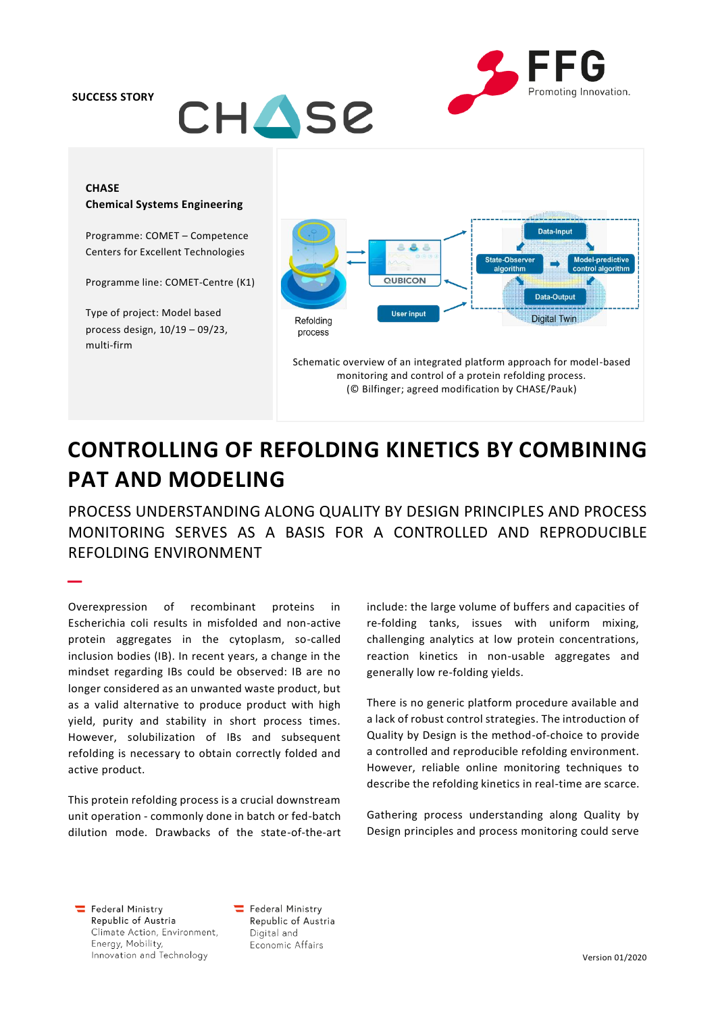**SUCCESS STORY**





# **CHASE Chemical Systems Engineering**

Programme: COMET – Competence Centers for Excellent Technologies

Programme line: COMET-Centre (K1)

Type of project: Model based process design, 10/19 – 09/23, multi-firm

–



Schematic overview of an integrated platform approach for model-based monitoring and control of a protein refolding process. (© Bilfinger; agreed modification by CHASE/Pauk)

# **CONTROLLING OF REFOLDING KINETICS BY COMBINING PAT AND MODELING**

PROCESS UNDERSTANDING ALONG QUALITY BY DESIGN PRINCIPLES AND PROCESS MONITORING SERVES AS A BASIS FOR A CONTROLLED AND REPRODUCIBLE REFOLDING ENVIRONMENT

Overexpression of recombinant proteins in Escherichia coli results in misfolded and non-active protein aggregates in the cytoplasm, so-called inclusion bodies (IB). In recent years, a change in the mindset regarding IBs could be observed: IB are no longer considered as an unwanted waste product, but as a valid alternative to produce product with high yield, purity and stability in short process times. However, solubilization of IBs and subsequent refolding is necessary to obtain correctly folded and active product.

This protein refolding process is a crucial downstream unit operation - commonly done in batch or fed-batch dilution mode. Drawbacks of the state-of-the-art include: the large volume of buffers and capacities of re-folding tanks, issues with uniform mixing, challenging analytics at low protein concentrations, reaction kinetics in non-usable aggregates and generally low re-folding yields.

There is no generic platform procedure available and a lack of robust control strategies. The introduction of Quality by Design is the method-of-choice to provide a controlled and reproducible refolding environment. However, reliable online monitoring techniques to describe the refolding kinetics in real-time are scarce.

Gathering process understanding along Quality by Design principles and process monitoring could serve

Federal Ministry Republic of Austria Climate Action, Environment, Energy, Mobility, Innovation and Technology

Federal Ministry Republic of Austria Digital and Economic Affairs